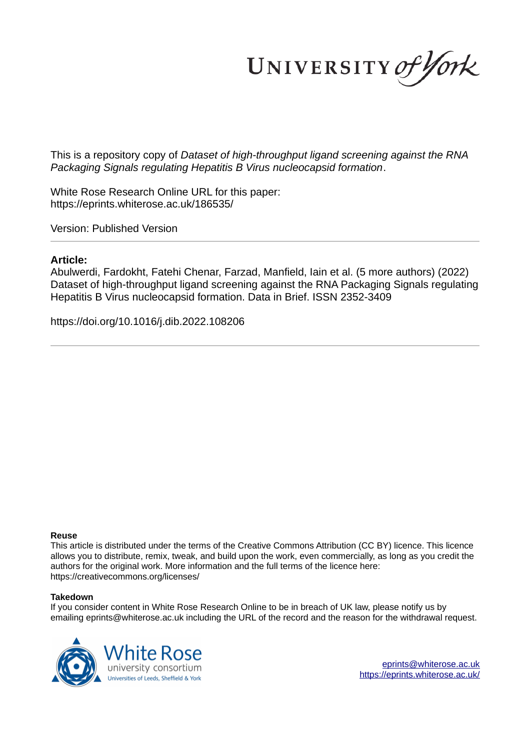UNIVERSITY of York

This is a repository copy of *Dataset of high-throughput ligand screening against the RNA Packaging Signals regulating Hepatitis B Virus nucleocapsid formation*.

White Rose Research Online URL for this paper: https://eprints.whiterose.ac.uk/186535/

Version: Published Version

# **Article:**

Abulwerdi, Fardokht, Fatehi Chenar, Farzad, Manfield, Iain et al. (5 more authors) (2022) Dataset of high-throughput ligand screening against the RNA Packaging Signals regulating Hepatitis B Virus nucleocapsid formation. Data in Brief. ISSN 2352-3409

https://doi.org/10.1016/j.dib.2022.108206

# **Reuse**

This article is distributed under the terms of the Creative Commons Attribution (CC BY) licence. This licence allows you to distribute, remix, tweak, and build upon the work, even commercially, as long as you credit the authors for the original work. More information and the full terms of the licence here: https://creativecommons.org/licenses/

# **Takedown**

If you consider content in White Rose Research Online to be in breach of UK law, please notify us by emailing eprints@whiterose.ac.uk including the URL of the record and the reason for the withdrawal request.



eprints@whiterose.ac.uk https://eprints.whiterose.ac.uk/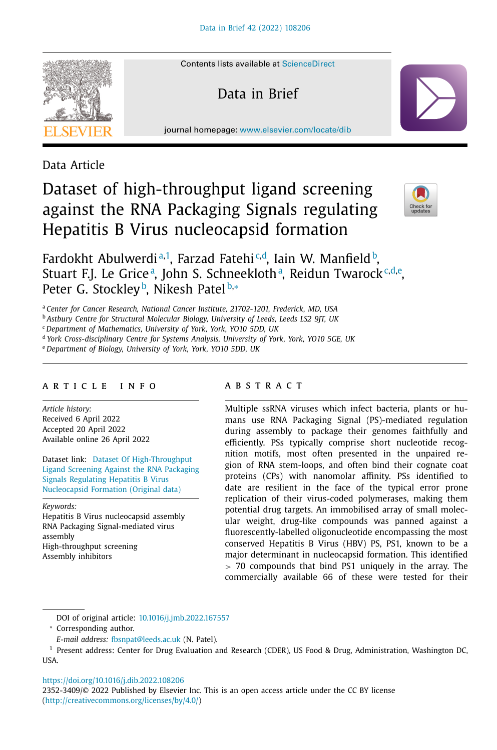

Contents lists available at ScienceDirect

Data in Brief

journal homepage: www.elsevier.com/locate/dib

Data Article

# Dataset of high-throughput ligand screening against the RNA Packaging Signals regulating Hepatitis B Virus nucleocapsid formation



Fardokht Abulwerdi<sup>a,1</sup>, Farzad Fatehi<sup>c,d</sup>, Iain W. Manfield b, Stuart F.J. Le Griceª, John S. Schneeklothª, Reidun Twarock<sup>.c,d,e</sup>, Peter G. Stockley<sup>b</sup>, Nikesh Patel<sup>b,\*</sup>

<sup>a</sup> *Center for Cancer Research, National Cancer Institute, 21702-1201, Frederick, MD, USA*

<sup>b</sup> *Astbury Centre for Structural Molecular Biology, University of Leeds, Leeds LS2 9JT, UK*

<sup>c</sup> *Department of Mathematics, University of York, York, YO10 5DD, UK*

<sup>d</sup> *York Cross-disciplinary Centre for Systems Analysis, University of York, York, YO10 5GE, UK*

<sup>e</sup> *Department of Biology, University of York, York, YO10 5DD, UK*

# a r t i c l e i n f o

*Article history:* Received 6 April 2022 Accepted 20 April 2022 Available online 26 April 2022

Dataset link: Dataset Of High-Throughput Ligand Screening Against the RNA Packaging Signals Regulating Hepatitis B Virus Nucleocapsid Formation (Original data)

*Keywords:*

Hepatitis B Virus nucleocapsid assembly RNA Packaging Signal-mediated virus assembly High-throughput screening Assembly inhibitors

# A B S T R A C T

Multiple ssRNA viruses which infect bacteria, plants or humans use RNA Packaging Signal (PS)-mediated regulation during assembly to package their genomes faithfully and efficiently. PSs typically comprise short nucleotide recognition motifs, most often presented in the unpaired region of RNA stem-loops, and often bind their cognate coat proteins (CPs) with nanomolar affinity. PSs identified to date are resilient in the face of the typical error prone replication of their virus-coded polymerases, making them potential drug targets. An immobilised array of small molecular weight, drug-like compounds was panned against a fluorescently-labelled oligonucleotide encompassing the most conserved Hepatitis B Virus (HBV) PS, PS1, known to be a major determinant in nucleocapsid formation. This identified > 70 compounds that bind PS1 uniquely in the array. The commercially available 66 of these were tested for their

DOI of original article: 10.1016/j.jmb.2022.167557

https://doi.org/10.1016/j.dib.2022.108206

2352-3409/© 2022 Published by Elsevier Inc. This is an open access article under the CC BY license (http://creativecommons.org/licenses/by/4.0/)

<sup>∗</sup> Corresponding author.

*E-mail address:* fbsnpat@leeds.ac.uk (N. Patel).

<sup>1</sup> Present address: Center for Drug Evaluation and Research (CDER), US Food & Drug, Administration, Washington DC, USA.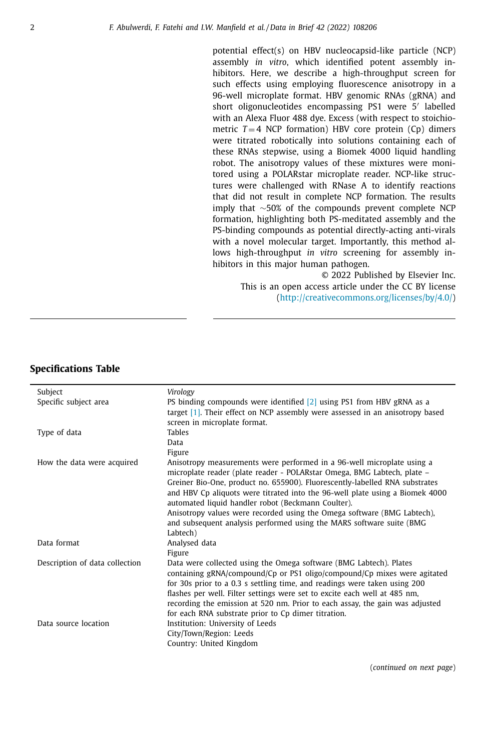potential effect(s) on HBV nucleocapsid-like particle (NCP) assembly *in vitro*, which identified potent assembly inhibitors. Here, we describe a high-throughput screen for such effects using employing fluorescence anisotropy in a 96-well microplate format. HBV genomic RNAs (gRNA) and short oligonucleotides encompassing PS1 were 5 ′ labelled with an Alexa Fluor 488 dye. Excess (with respect to stoichiometric  $T = 4$  NCP formation) HBV core protein  $(Cp)$  dimers were titrated robotically into solutions containing each of these RNAs stepwise, using a Biomek 4000 liquid handling robot. The anisotropy values of these mixtures were monitored using a POLARstar microplate reader. NCP-like structures were challenged with RNase A to identify reactions that did not result in complete NCP formation. The results imply that ∼50% of the compounds prevent complete NCP formation, highlighting both PS-meditated assembly and the PS-binding compounds as potential directly-acting anti-virals with a novel molecular target. Importantly, this method allows high-throughput *in vitro* screening for assembly inhibitors in this major human pathogen.

> © 2022 Published by Elsevier Inc. This is an open access article under the CC BY license (http://creativecommons.org/licenses/by/4.0/)

# **Specifications Table**

| Subject                        | Virology                                                                                                                                                                                                                                                                                                                                                                                                                                        |  |  |
|--------------------------------|-------------------------------------------------------------------------------------------------------------------------------------------------------------------------------------------------------------------------------------------------------------------------------------------------------------------------------------------------------------------------------------------------------------------------------------------------|--|--|
| Specific subject area          | PS binding compounds were identified $[2]$ using PS1 from HBV gRNA as a                                                                                                                                                                                                                                                                                                                                                                         |  |  |
|                                | target $[1]$ . Their effect on NCP assembly were assessed in an anisotropy based                                                                                                                                                                                                                                                                                                                                                                |  |  |
|                                | screen in microplate format.                                                                                                                                                                                                                                                                                                                                                                                                                    |  |  |
| Type of data                   | <b>Tables</b>                                                                                                                                                                                                                                                                                                                                                                                                                                   |  |  |
|                                | Data                                                                                                                                                                                                                                                                                                                                                                                                                                            |  |  |
|                                | Figure                                                                                                                                                                                                                                                                                                                                                                                                                                          |  |  |
| How the data were acquired     | Anisotropy measurements were performed in a 96-well microplate using a<br>microplate reader (plate reader - POLARstar Omega, BMG Labtech, plate -<br>Greiner Bio-One, product no. 655900). Fluorescently-labelled RNA substrates<br>and HBV Cp aliquots were titrated into the 96-well plate using a Biomek 4000<br>automated liquid handler robot (Beckmann Coulter).                                                                          |  |  |
|                                | Anisotropy values were recorded using the Omega software (BMG Labtech),                                                                                                                                                                                                                                                                                                                                                                         |  |  |
|                                | and subsequent analysis performed using the MARS software suite (BMG                                                                                                                                                                                                                                                                                                                                                                            |  |  |
|                                | Labtech)                                                                                                                                                                                                                                                                                                                                                                                                                                        |  |  |
| Data format                    | Analysed data                                                                                                                                                                                                                                                                                                                                                                                                                                   |  |  |
|                                | Figure                                                                                                                                                                                                                                                                                                                                                                                                                                          |  |  |
| Description of data collection | Data were collected using the Omega software (BMG Labtech). Plates<br>containing gRNA/compound/Cp or PS1 oligo/compound/Cp mixes were agitated<br>for 30s prior to a 0.3 s settling time, and readings were taken using 200<br>flashes per well. Filter settings were set to excite each well at 485 nm,<br>recording the emission at 520 nm. Prior to each assay, the gain was adjusted<br>for each RNA substrate prior to Cp dimer titration. |  |  |
| Data source location           | Institution: University of Leeds<br>City/Town/Region: Leeds<br>Country: United Kingdom                                                                                                                                                                                                                                                                                                                                                          |  |  |

(*continued on next page*)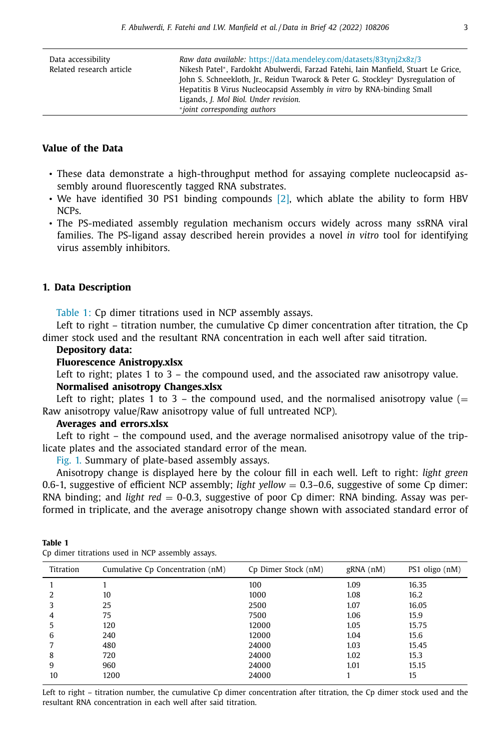| Data accessibility<br>Related research article | Raw data available: https://data.mendeley.com/datasets/83tyni2x8z/3<br>Nikesh Patel*, Fardokht Abulwerdi, Farzad Fatehi, Iain Manfield, Stuart Le Grice,<br>John S. Schneekloth, Jr., Reidun Twarock & Peter G. Stockley* Dysregulation of<br>Hepatitis B Virus Nucleocapsid Assembly in vitro by RNA-binding Small<br>Ligands, J. Mol Biol. Under revision.<br>*joint corresponding authors |
|------------------------------------------------|----------------------------------------------------------------------------------------------------------------------------------------------------------------------------------------------------------------------------------------------------------------------------------------------------------------------------------------------------------------------------------------------|
|                                                |                                                                                                                                                                                                                                                                                                                                                                                              |

# **Value of the Data**

- These data demonstrate a high-throughput method for assaying complete nucleocapsid assembly around fluorescently tagged RNA substrates.
- We have identified 30 PS1 binding compounds [2], which ablate the ability to form HBV NCPs.
- The PS-mediated assembly regulation mechanism occurs widely across many ssRNA viral families. The PS-ligand assay described herein provides a novel *in vitro* tool for identifying virus assembly inhibitors.

# **1. Data Description**

Table 1: Cp dimer titrations used in NCP assembly assays.

Left to right – titration number, the cumulative Cp dimer concentration after titration, the Cp dimer stock used and the resultant RNA concentration in each well after said titration.

# **Depository data:**

# **Fluorescence Anistropy.xlsx**

Left to right; plates 1 to 3 – the compound used, and the associated raw anisotropy value. **Normalised anisotropy Changes.xlsx**

Left to right; plates 1 to 3 – the compound used, and the normalised anisotropy value  $(=$ Raw anisotropy value/Raw anisotropy value of full untreated NCP).

#### **Averages and errors.xlsx**

Left to right – the compound used, and the average normalised anisotropy value of the triplicate plates and the associated standard error of the mean.

Fig. 1. Summary of plate-based assembly assays.

Anisotropy change is displayed here by the colour fill in each well. Left to right: *light green* 0.6-1, suggestive of efficient NCP assembly; *light yellow* = 0.3–0.6, suggestive of some Cp dimer: RNA binding; and *light red* = 0-0.3, suggestive of poor Cp dimer: RNA binding. Assay was performed in triplicate, and the average anisotropy change shown with associated standard error of

| Titration | Cumulative Cp Concentration (nM) | Cp Dimer Stock (nM) | gRNA(nM) | PS1 oligo (nM) |
|-----------|----------------------------------|---------------------|----------|----------------|
|           |                                  | 100                 | 1.09     | 16.35          |
|           | 10                               | 1000                | 1.08     | 16.2           |
| 3         | 25                               | 2500                | 1.07     | 16.05          |
| 4         | 75                               | 7500                | 1.06     | 15.9           |
| 5         | 120                              | 12000               | 1.05     | 15.75          |
| 6         | 240                              | 12000               | 1.04     | 15.6           |
|           | 480                              | 24000               | 1.03     | 15.45          |
| 8         | 720                              | 24000               | 1.02     | 15.3           |
| 9         | 960                              | 24000               | 1.01     | 15.15          |
| 10        | 1200                             | 24000               |          | 15             |

Cp dimer titrations used in NCP assembly assays.

**Table 1**

Left to right – titration number, the cumulative Cp dimer concentration after titration, the Cp dimer stock used and the resultant RNA concentration in each well after said titration.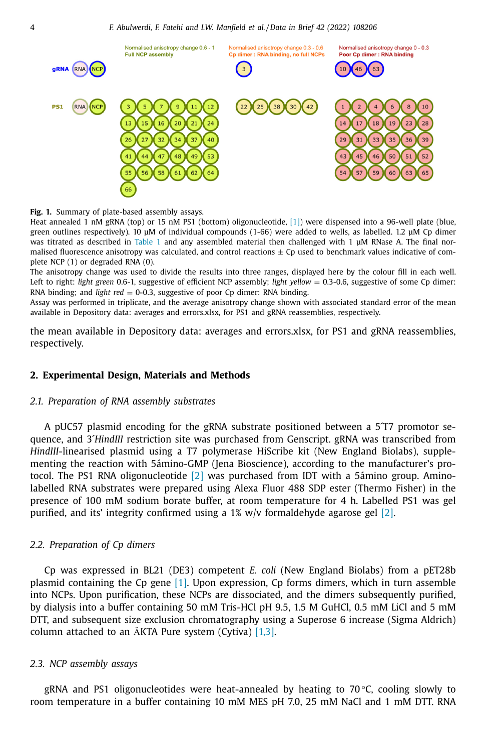

**Fig. 1.** Summary of plate-based assembly assays.

Heat annealed 1 nM gRNA (top) or 15 nM PS1 (bottom) oligonucleotide, [1]) were dispensed into a 96-well plate (blue, green outlines respectively). 10 μM of individual compounds (1-66) were added to wells, as labelled. 1.2 μM Cp dimer was titrated as described in Table 1 and any assembled material then challenged with 1 μM RNase A. The final normalised fluorescence anisotropy was calculated, and control reactions  $\pm$  Cp used to benchmark values indicative of complete NCP (1) or degraded RNA (0).

The anisotropy change was used to divide the results into three ranges, displayed here by the colour fill in each well. Left to right: *light green* 0.6-1, suggestive of efficient NCP assembly; *light yellow* = 0.3-0.6, suggestive of some Cp dimer: RNA binding; and *light red* = 0-0.3, suggestive of poor Cp dimer: RNA binding.

Assay was performed in triplicate, and the average anisotropy change shown with associated standard error of the mean available in Depository data: averages and errors.xlsx, for PS1 and gRNA reassemblies, respectively.

the mean available in Depository data: averages and errors.xlsx, for PS1 and gRNA reassemblies, respectively.

# **2. Experimental Design, Materials and Methods**

## *2.1. Preparation of RNA assembly substrates*

A pUC57 plasmid encoding for the gRNA substrate positioned between a 5´T7 promotor sequence, and 3´*HindIII* restriction site was purchased from Genscript. gRNA was transcribed from *HindIII*-linearised plasmid using a T7 polymerase HiScribe kit (New England Biolabs), supplementing the reaction with 5ámino-GMP (Jena Bioscience), according to the manufacturer's protocol. The PS1 RNA oligonucleotide  $[2]$  was purchased from IDT with a 5 amino group. Aminolabelled RNA substrates were prepared using Alexa Fluor 488 SDP ester (Thermo Fisher) in the presence of 100 mM sodium borate buffer, at room temperature for 4 h. Labelled PS1 was gel purified, and its' integrity confirmed using a  $1\%$  w/v formaldehyde agarose gel [2].

## *2.2. Preparation of Cp dimers*

Cp was expressed in BL21 (DE3) competent *E. coli* (New England Biolabs) from a pET28b plasmid containing the Cp gene [1]. Upon expression, Cp forms dimers, which in turn assemble into NCPs. Upon purification, these NCPs are dissociated, and the dimers subsequently purified, by dialysis into a buffer containing 50 mM Tris-HCl pH 9.5, 1.5 M GuHCl, 0.5 mM LiCl and 5 mM DTT, and subsequent size exclusion chromatography using a Superose 6 increase (Sigma Aldrich) column attached to an ӒKTA Pure system (Cytiva) [1,3].

#### *2.3. NCP assembly assays*

gRNA and PS1 oligonucleotides were heat-annealed by heating to  $70^{\circ}$ C, cooling slowly to room temperature in a buffer containing 10 mM MES pH 7.0, 25 mM NaCl and 1 mM DTT. RNA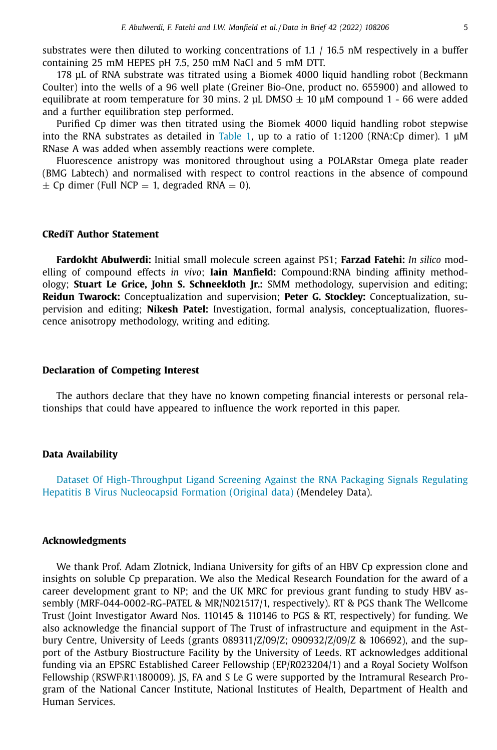substrates were then diluted to working concentrations of 1.1  $/$  16.5 nM respectively in a buffer containing 25 mM HEPES pH 7.5, 250 mM NaCl and 5 mM DTT.

178 μL of RNA substrate was titrated using a Biomek 4000 liquid handling robot (Beckmann Coulter) into the wells of a 96 well plate (Greiner Bio-One, product no. 655900) and allowed to equilibrate at room temperature for 30 mins. 2 μL DMSO  $\pm$  10 μM compound 1 - 66 were added and a further equilibration step performed.

Purified Cp dimer was then titrated using the Biomek 4000 liquid handling robot stepwise into the RNA substrates as detailed in Table 1, up to a ratio of 1:1200 (RNA:Cp dimer). 1 μM RNase A was added when assembly reactions were complete.

Fluorescence anistropy was monitored throughout using a POLARstar Omega plate reader (BMG Labtech) and normalised with respect to control reactions in the absence of compound  $\pm$  Cp dimer (Full NCP = 1, degraded RNA = 0).

#### **CRediT Author Statement**

**Fardokht Abulwerdi:** Initial small molecule screen against PS1; **Farzad Fatehi:** *In silico* modelling of compound effects *in vivo*; **Iain Manfield:** Compound:RNA binding affinity methodology; **Stuart Le Grice, John S. Schneekloth Jr.:** SMM methodology, supervision and editing; **Reidun Twarock:** Conceptualization and supervision; **Peter G. Stockley:** Conceptualization, supervision and editing; **Nikesh Patel:** Investigation, formal analysis, conceptualization, fluorescence anisotropy methodology, writing and editing.

#### **Declaration of Competing Interest**

The authors declare that they have no known competing financial interests or personal relationships that could have appeared to influence the work reported in this paper.

# **Data Availability**

Dataset Of High-Throughput Ligand Screening Against the RNA Packaging Signals Regulating Hepatitis B Virus Nucleocapsid Formation (Original data) (Mendeley Data).

#### **Acknowledgments**

We thank Prof. Adam Zlotnick, Indiana University for gifts of an HBV Cp expression clone and insights on soluble Cp preparation. We also the Medical Research Foundation for the award of a career development grant to NP; and the UK MRC for previous grant funding to study HBV assembly (MRF-044-0002-RG-PATEL & MR/N021517/1, respectively). RT & PGS thank The Wellcome Trust (Joint Investigator Award Nos. 110145 & 110146 to PGS & RT, respectively) for funding. We also acknowledge the financial support of The Trust of infrastructure and equipment in the Astbury Centre, University of Leeds (grants 089311/Z/09/Z; 090932/Z/09/Z & 106692), and the support of the Astbury Biostructure Facility by the University of Leeds. RT acknowledges additional funding via an EPSRC Established Career Fellowship (EP/R023204/1) and a Royal Society Wolfson Fellowship (RSWF\R1\180009). IS, FA and S Le G were supported by the Intramural Research Program of the National Cancer Institute, National Institutes of Health, Department of Health and Human Services.